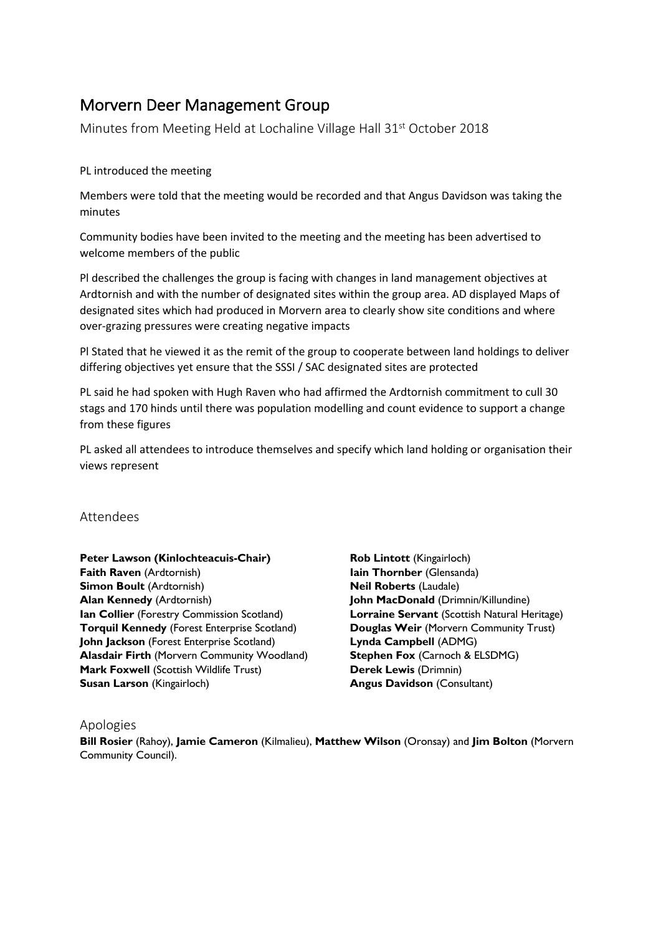# Morvern Deer Management Group

Minutes from Meeting Held at Lochaline Village Hall 31st October 2018

#### PL introduced the meeting

Members were told that the meeting would be recorded and that Angus Davidson was taking the minutes

Community bodies have been invited to the meeting and the meeting has been advertised to welcome members of the public

Pl described the challenges the group is facing with changes in land management objectives at Ardtornish and with the number of designated sites within the group area. AD displayed Maps of designated sites which had produced in Morvern area to clearly show site conditions and where over-grazing pressures were creating negative impacts

Pl Stated that he viewed it as the remit of the group to cooperate between land holdings to deliver differing objectives yet ensure that the SSSI / SAC designated sites are protected

PL said he had spoken with Hugh Raven who had affirmed the Ardtornish commitment to cull 30 stags and 170 hinds until there was population modelling and count evidence to support a change from these figures

PL asked all attendees to introduce themselves and specify which land holding or organisation their views represent

## Attendees

**Peter Lawson (Kinlochteacuis-Chair) Faith Raven** (Ardtornish) **Simon Boult** (Ardtornish) **Alan Kennedy** (Ardtornish) **Ian Collier** (Forestry Commission Scotland) **Torquil Kennedy** (Forest Enterprise Scotland) **John Jackson** (Forest Enterprise Scotland) **Alasdair Firth** (Morvern Community Woodland) **Mark Foxwell (Scottish Wildlife Trust) Susan Larson** (Kingairloch)

**Rob Lintott** (Kingairloch) **Iain Thornber** (Glensanda) **Neil Roberts** (Laudale) **John MacDonald** (Drimnin/Killundine) **Lorraine Servant** (Scottish Natural Heritage) **Douglas Weir** (Morvern Community Trust) **Lynda Campbell** (ADMG) **Stephen Fox** (Carnoch & ELSDMG) **Derek Lewis** (Drimnin) **Angus Davidson** (Consultant)

## Apologies

**Bill Rosier** (Rahoy), **Jamie Cameron** (Kilmalieu), **Matthew Wilson** (Oronsay) and **Jim Bolton** (Morvern Community Council).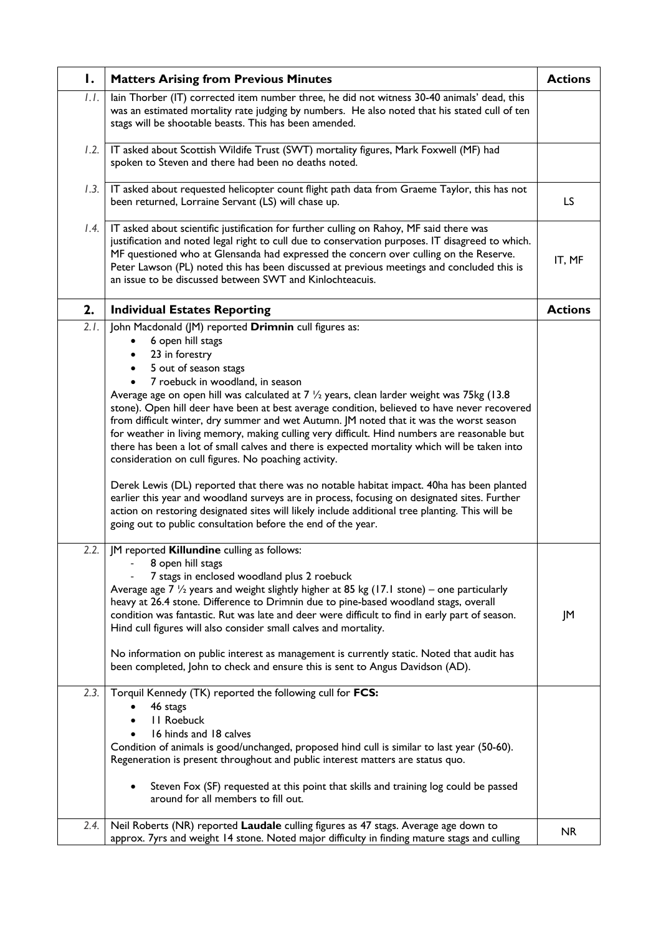| Ι.   | <b>Matters Arising from Previous Minutes</b>                                                                                                                                                                                                                                                                                                                                                                                                                                                                                                                                                                                                                                                                                                                                                                                                                                                                                                                                                                                                                                          | <b>Actions</b> |
|------|---------------------------------------------------------------------------------------------------------------------------------------------------------------------------------------------------------------------------------------------------------------------------------------------------------------------------------------------------------------------------------------------------------------------------------------------------------------------------------------------------------------------------------------------------------------------------------------------------------------------------------------------------------------------------------------------------------------------------------------------------------------------------------------------------------------------------------------------------------------------------------------------------------------------------------------------------------------------------------------------------------------------------------------------------------------------------------------|----------------|
| 1.1. | lain Thorber (IT) corrected item number three, he did not witness 30-40 animals' dead, this<br>was an estimated mortality rate judging by numbers. He also noted that his stated cull of ten<br>stags will be shootable beasts. This has been amended.                                                                                                                                                                                                                                                                                                                                                                                                                                                                                                                                                                                                                                                                                                                                                                                                                                |                |
| 1.2. | IT asked about Scottish Wildife Trust (SWT) mortality figures, Mark Foxwell (MF) had<br>spoken to Steven and there had been no deaths noted.                                                                                                                                                                                                                                                                                                                                                                                                                                                                                                                                                                                                                                                                                                                                                                                                                                                                                                                                          |                |
| 1.3. | IT asked about requested helicopter count flight path data from Graeme Taylor, this has not<br>been returned, Lorraine Servant (LS) will chase up.                                                                                                                                                                                                                                                                                                                                                                                                                                                                                                                                                                                                                                                                                                                                                                                                                                                                                                                                    | LS.            |
| 1.4. | IT asked about scientific justification for further culling on Rahoy, MF said there was<br>justification and noted legal right to cull due to conservation purposes. IT disagreed to which.<br>MF questioned who at Glensanda had expressed the concern over culling on the Reserve.<br>Peter Lawson (PL) noted this has been discussed at previous meetings and concluded this is<br>an issue to be discussed between SWT and Kinlochteacuis.                                                                                                                                                                                                                                                                                                                                                                                                                                                                                                                                                                                                                                        | IT, MF         |
| 2.   | <b>Individual Estates Reporting</b>                                                                                                                                                                                                                                                                                                                                                                                                                                                                                                                                                                                                                                                                                                                                                                                                                                                                                                                                                                                                                                                   | <b>Actions</b> |
| 2.1. | John Macdonald (JM) reported Drimnin cull figures as:<br>6 open hill stags<br>23 in forestry<br>5 out of season stags<br>7 roebuck in woodland, in season<br>Average age on open hill was calculated at $7\frac{1}{2}$ years, clean larder weight was 75kg (13.8)<br>stone). Open hill deer have been at best average condition, believed to have never recovered<br>from difficult winter, dry summer and wet Autumn. JM noted that it was the worst season<br>for weather in living memory, making culling very difficult. Hind numbers are reasonable but<br>there has been a lot of small calves and there is expected mortality which will be taken into<br>consideration on cull figures. No poaching activity.<br>Derek Lewis (DL) reported that there was no notable habitat impact. 40ha has been planted<br>earlier this year and woodland surveys are in process, focusing on designated sites. Further<br>action on restoring designated sites will likely include additional tree planting. This will be<br>going out to public consultation before the end of the year. |                |
| 2.2. | JM reported Killundine culling as follows:<br>8 open hill stags<br>7 stags in enclosed woodland plus 2 roebuck<br>Average age $7\frac{1}{2}$ years and weight slightly higher at 85 kg (17.1 stone) – one particularly<br>heavy at 26.4 stone. Difference to Drimnin due to pine-based woodland stags, overall<br>condition was fantastic. Rut was late and deer were difficult to find in early part of season.<br>Hind cull figures will also consider small calves and mortality.<br>No information on public interest as management is currently static. Noted that audit has<br>been completed, John to check and ensure this is sent to Angus Davidson (AD).                                                                                                                                                                                                                                                                                                                                                                                                                    | JM             |
| 2.3. | Torquil Kennedy (TK) reported the following cull for FCS:<br>46 stags<br><b>II Roebuck</b><br>16 hinds and 18 calves<br>Condition of animals is good/unchanged, proposed hind cull is similar to last year (50-60).<br>Regeneration is present throughout and public interest matters are status quo.<br>Steven Fox (SF) requested at this point that skills and training log could be passed<br>around for all members to fill out.                                                                                                                                                                                                                                                                                                                                                                                                                                                                                                                                                                                                                                                  |                |
| 2.4. | Neil Roberts (NR) reported Laudale culling figures as 47 stags. Average age down to<br>approx. 7yrs and weight 14 stone. Noted major difficulty in finding mature stags and culling                                                                                                                                                                                                                                                                                                                                                                                                                                                                                                                                                                                                                                                                                                                                                                                                                                                                                                   | <b>NR</b>      |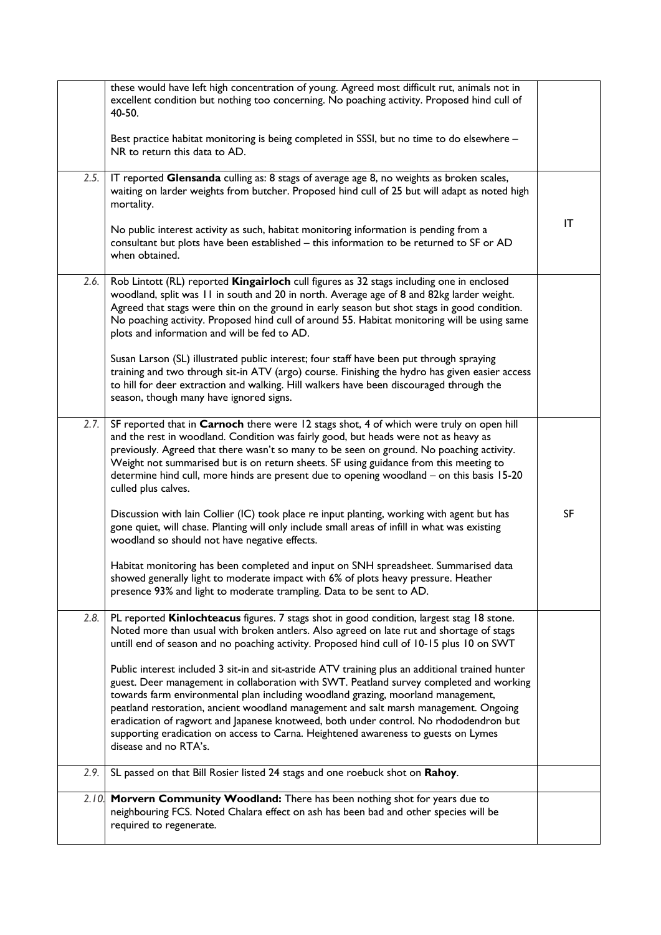|       | these would have left high concentration of young. Agreed most difficult rut, animals not in<br>excellent condition but nothing too concerning. No poaching activity. Proposed hind cull of<br>40-50.                                                                                                                                                                                                                                                                                                                                                                           |           |
|-------|---------------------------------------------------------------------------------------------------------------------------------------------------------------------------------------------------------------------------------------------------------------------------------------------------------------------------------------------------------------------------------------------------------------------------------------------------------------------------------------------------------------------------------------------------------------------------------|-----------|
|       | Best practice habitat monitoring is being completed in SSSI, but no time to do elsewhere -<br>NR to return this data to AD.                                                                                                                                                                                                                                                                                                                                                                                                                                                     |           |
| 2.5.  | IT reported Glensanda culling as: 8 stags of average age 8, no weights as broken scales,<br>waiting on larder weights from butcher. Proposed hind cull of 25 but will adapt as noted high<br>mortality.                                                                                                                                                                                                                                                                                                                                                                         |           |
|       | No public interest activity as such, habitat monitoring information is pending from a<br>consultant but plots have been established - this information to be returned to SF or AD<br>when obtained.                                                                                                                                                                                                                                                                                                                                                                             | IT        |
| 2.6.  | Rob Lintott (RL) reported Kingairloch cull figures as 32 stags including one in enclosed<br>woodland, split was 11 in south and 20 in north. Average age of 8 and 82kg larder weight.<br>Agreed that stags were thin on the ground in early season but shot stags in good condition.<br>No poaching activity. Proposed hind cull of around 55. Habitat monitoring will be using same<br>plots and information and will be fed to AD.                                                                                                                                            |           |
|       | Susan Larson (SL) illustrated public interest; four staff have been put through spraying<br>training and two through sit-in ATV (argo) course. Finishing the hydro has given easier access<br>to hill for deer extraction and walking. Hill walkers have been discouraged through the<br>season, though many have ignored signs.                                                                                                                                                                                                                                                |           |
| 2.7.  | SF reported that in Carnoch there were 12 stags shot, 4 of which were truly on open hill<br>and the rest in woodland. Condition was fairly good, but heads were not as heavy as<br>previously. Agreed that there wasn't so many to be seen on ground. No poaching activity.<br>Weight not summarised but is on return sheets. SF using guidance from this meeting to<br>determine hind cull, more hinds are present due to opening woodland - on this basis 15-20<br>culled plus calves.                                                                                        |           |
|       | Discussion with lain Collier (IC) took place re input planting, working with agent but has<br>gone quiet, will chase. Planting will only include small areas of infill in what was existing<br>woodland so should not have negative effects.                                                                                                                                                                                                                                                                                                                                    | <b>SF</b> |
|       | Habitat monitoring has been completed and input on SNH spreadsheet. Summarised data<br>showed generally light to moderate impact with 6% of plots heavy pressure. Heather<br>presence 93% and light to moderate trampling. Data to be sent to AD.                                                                                                                                                                                                                                                                                                                               |           |
| 2.8.  | PL reported Kinlochteacus figures. 7 stags shot in good condition, largest stag 18 stone.<br>Noted more than usual with broken antlers. Also agreed on late rut and shortage of stags<br>untill end of season and no poaching activity. Proposed hind cull of 10-15 plus 10 on SWT                                                                                                                                                                                                                                                                                              |           |
|       | Public interest included 3 sit-in and sit-astride ATV training plus an additional trained hunter<br>guest. Deer management in collaboration with SWT. Peatland survey completed and working<br>towards farm environmental plan including woodland grazing, moorland management,<br>peatland restoration, ancient woodland management and salt marsh management. Ongoing<br>eradication of ragwort and Japanese knotweed, both under control. No rhododendron but<br>supporting eradication on access to Carna. Heightened awareness to guests on Lymes<br>disease and no RTA's. |           |
| 2.9.  | SL passed on that Bill Rosier listed 24 stags and one roebuck shot on Rahoy.                                                                                                                                                                                                                                                                                                                                                                                                                                                                                                    |           |
| 2.10. | Morvern Community Woodland: There has been nothing shot for years due to<br>neighbouring FCS. Noted Chalara effect on ash has been bad and other species will be<br>required to regenerate.                                                                                                                                                                                                                                                                                                                                                                                     |           |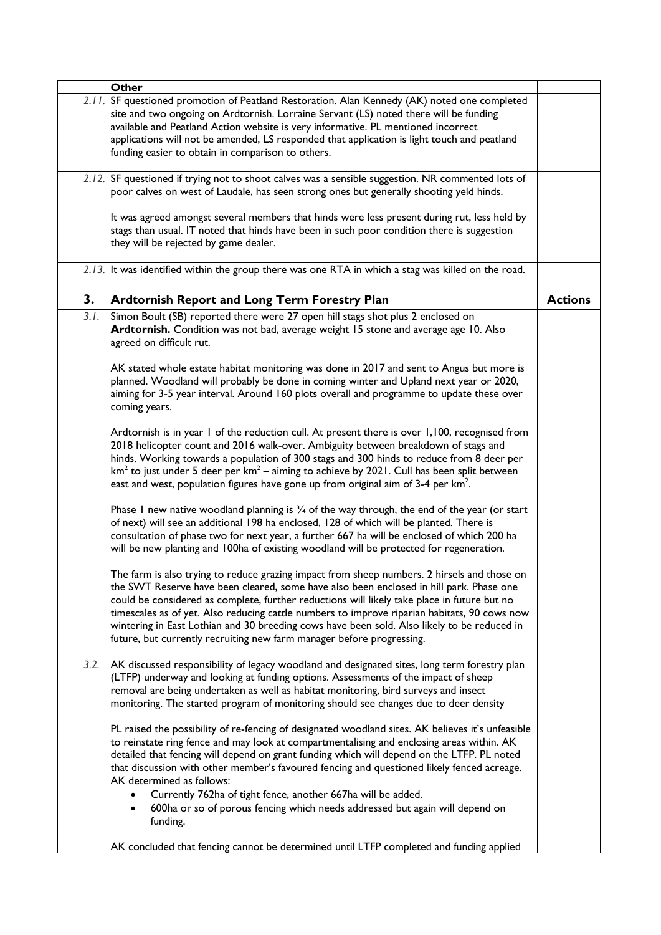|      | <b>Other</b>                                                                                                                                                                                                                                                                                                                                                                                                                                                                                                                                                  |                |
|------|---------------------------------------------------------------------------------------------------------------------------------------------------------------------------------------------------------------------------------------------------------------------------------------------------------------------------------------------------------------------------------------------------------------------------------------------------------------------------------------------------------------------------------------------------------------|----------------|
|      | 2.11. SF questioned promotion of Peatland Restoration. Alan Kennedy (AK) noted one completed<br>site and two ongoing on Ardtornish. Lorraine Servant (LS) noted there will be funding<br>available and Peatland Action website is very informative. PL mentioned incorrect<br>applications will not be amended, LS responded that application is light touch and peatland<br>funding easier to obtain in comparison to others.                                                                                                                                |                |
|      | 2.12. SF questioned if trying not to shoot calves was a sensible suggestion. NR commented lots of<br>poor calves on west of Laudale, has seen strong ones but generally shooting yeld hinds.                                                                                                                                                                                                                                                                                                                                                                  |                |
|      | It was agreed amongst several members that hinds were less present during rut, less held by<br>stags than usual. IT noted that hinds have been in such poor condition there is suggestion<br>they will be rejected by game dealer.                                                                                                                                                                                                                                                                                                                            |                |
|      | $2.13$ . It was identified within the group there was one RTA in which a stag was killed on the road.                                                                                                                                                                                                                                                                                                                                                                                                                                                         |                |
| 3.   | <b>Ardtornish Report and Long Term Forestry Plan</b>                                                                                                                                                                                                                                                                                                                                                                                                                                                                                                          | <b>Actions</b> |
| 3.1. | Simon Boult (SB) reported there were 27 open hill stags shot plus 2 enclosed on<br>Ardtornish. Condition was not bad, average weight 15 stone and average age 10. Also<br>agreed on difficult rut.                                                                                                                                                                                                                                                                                                                                                            |                |
|      | AK stated whole estate habitat monitoring was done in 2017 and sent to Angus but more is<br>planned. Woodland will probably be done in coming winter and Upland next year or 2020,<br>aiming for 3-5 year interval. Around 160 plots overall and programme to update these over<br>coming years.                                                                                                                                                                                                                                                              |                |
|      | Ardtornish is in year 1 of the reduction cull. At present there is over 1,100, recognised from<br>2018 helicopter count and 2016 walk-over. Ambiguity between breakdown of stags and<br>hinds. Working towards a population of 300 stags and 300 hinds to reduce from 8 deer per<br>$km2$ to just under 5 deer per $km2$ – aiming to achieve by 2021. Cull has been split between<br>east and west, population figures have gone up from original aim of 3-4 per $km^2$ .                                                                                     |                |
|      | Phase I new native woodland planning is $\frac{3}{4}$ of the way through, the end of the year (or start<br>of next) will see an additional 198 ha enclosed, 128 of which will be planted. There is<br>consultation of phase two for next year, a further 667 ha will be enclosed of which 200 ha<br>will be new planting and 100ha of existing woodland will be protected for regeneration.                                                                                                                                                                   |                |
|      | The farm is also trying to reduce grazing impact from sheep numbers. 2 hirsels and those on<br>the SWT Reserve have been cleared, some have also been enclosed in hill park. Phase one<br>could be considered as complete, further reductions will likely take place in future but no<br>timescales as of yet. Also reducing cattle numbers to improve riparian habitats, 90 cows now<br>wintering in East Lothian and 30 breeding cows have been sold. Also likely to be reduced in<br>future, but currently recruiting new farm manager before progressing. |                |
| 3.2. | AK discussed responsibility of legacy woodland and designated sites, long term forestry plan<br>(LTFP) underway and looking at funding options. Assessments of the impact of sheep<br>removal are being undertaken as well as habitat monitoring, bird surveys and insect<br>monitoring. The started program of monitoring should see changes due to deer density                                                                                                                                                                                             |                |
|      | PL raised the possibility of re-fencing of designated woodland sites. AK believes it's unfeasible<br>to reinstate ring fence and may look at compartmentalising and enclosing areas within. AK<br>detailed that fencing will depend on grant funding which will depend on the LTFP. PL noted<br>that discussion with other member's favoured fencing and questioned likely fenced acreage.<br>AK determined as follows:<br>Currently 762ha of tight fence, another 667ha will be added.                                                                       |                |
|      | 600ha or so of porous fencing which needs addressed but again will depend on<br>funding.<br>AK concluded that fencing cannot be determined until LTFP completed and funding applied                                                                                                                                                                                                                                                                                                                                                                           |                |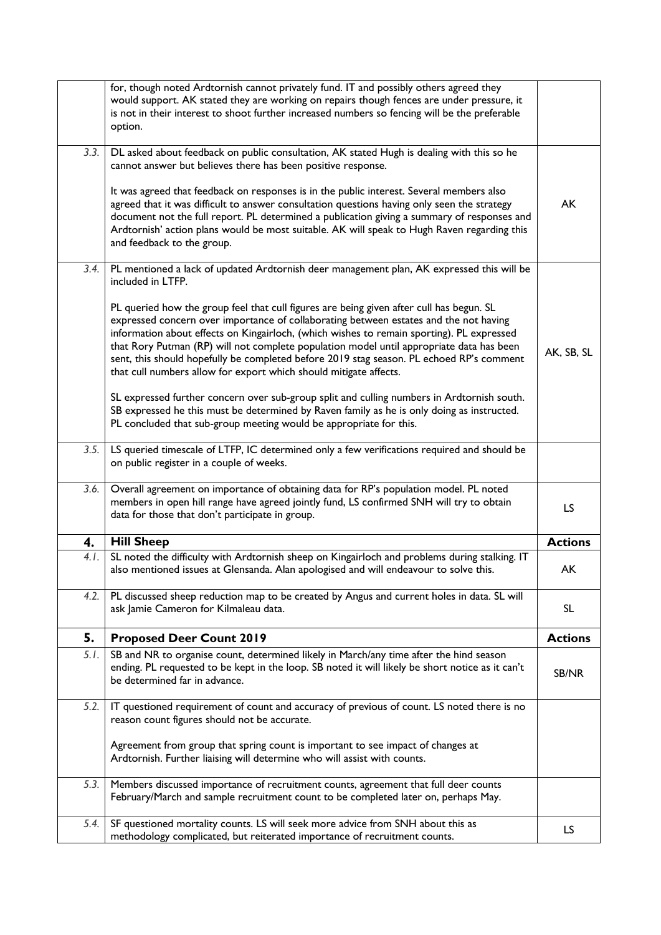|      | for, though noted Ardtornish cannot privately fund. IT and possibly others agreed they<br>would support. AK stated they are working on repairs though fences are under pressure, it<br>is not in their interest to shoot further increased numbers so fencing will be the preferable<br>option.                                                                                                                                                                                                                                             |                |
|------|---------------------------------------------------------------------------------------------------------------------------------------------------------------------------------------------------------------------------------------------------------------------------------------------------------------------------------------------------------------------------------------------------------------------------------------------------------------------------------------------------------------------------------------------|----------------|
| 3.3. | DL asked about feedback on public consultation, AK stated Hugh is dealing with this so he<br>cannot answer but believes there has been positive response.                                                                                                                                                                                                                                                                                                                                                                                   |                |
|      | It was agreed that feedback on responses is in the public interest. Several members also<br>agreed that it was difficult to answer consultation questions having only seen the strategy<br>document not the full report. PL determined a publication giving a summary of responses and<br>Ardtornish' action plans would be most suitable. AK will speak to Hugh Raven regarding this<br>and feedback to the group.                                                                                                                         | AK             |
| 3.4. | PL mentioned a lack of updated Ardtornish deer management plan, AK expressed this will be<br>included in LTFP.                                                                                                                                                                                                                                                                                                                                                                                                                              |                |
|      | PL queried how the group feel that cull figures are being given after cull has begun. SL<br>expressed concern over importance of collaborating between estates and the not having<br>information about effects on Kingairloch, (which wishes to remain sporting). PL expressed<br>that Rory Putman (RP) will not complete population model until appropriate data has been<br>sent, this should hopefully be completed before 2019 stag season. PL echoed RP's comment<br>that cull numbers allow for export which should mitigate affects. | AK, SB, SL     |
|      | SL expressed further concern over sub-group split and culling numbers in Ardtornish south.<br>SB expressed he this must be determined by Raven family as he is only doing as instructed.<br>PL concluded that sub-group meeting would be appropriate for this.                                                                                                                                                                                                                                                                              |                |
| 3.5. | LS queried timescale of LTFP, IC determined only a few verifications required and should be<br>on public register in a couple of weeks.                                                                                                                                                                                                                                                                                                                                                                                                     |                |
| 3.6. | Overall agreement on importance of obtaining data for RP's population model. PL noted<br>members in open hill range have agreed jointly fund, LS confirmed SNH will try to obtain<br>data for those that don't participate in group.                                                                                                                                                                                                                                                                                                        | LS.            |
| 4.   | <b>Hill Sheep</b>                                                                                                                                                                                                                                                                                                                                                                                                                                                                                                                           | <b>Actions</b> |
| 4.1. | SL noted the difficulty with Ardtornish sheep on Kingairloch and problems during stalking. IT<br>also mentioned issues at Glensanda. Alan apologised and will endeavour to solve this.                                                                                                                                                                                                                                                                                                                                                      | AK             |
| 4.2. | PL discussed sheep reduction map to be created by Angus and current holes in data. SL will<br>ask Jamie Cameron for Kilmaleau data.                                                                                                                                                                                                                                                                                                                                                                                                         | <b>SL</b>      |
| 5.   | <b>Proposed Deer Count 2019</b>                                                                                                                                                                                                                                                                                                                                                                                                                                                                                                             | <b>Actions</b> |
| 5.1. | SB and NR to organise count, determined likely in March/any time after the hind season<br>ending. PL requested to be kept in the loop. SB noted it will likely be short notice as it can't<br>be determined far in advance.                                                                                                                                                                                                                                                                                                                 | SB/NR          |
| 5.2. | IT questioned requirement of count and accuracy of previous of count. LS noted there is no<br>reason count figures should not be accurate.                                                                                                                                                                                                                                                                                                                                                                                                  |                |
|      | Agreement from group that spring count is important to see impact of changes at<br>Ardtornish. Further liaising will determine who will assist with counts.                                                                                                                                                                                                                                                                                                                                                                                 |                |
| 5.3. | Members discussed importance of recruitment counts, agreement that full deer counts<br>February/March and sample recruitment count to be completed later on, perhaps May.                                                                                                                                                                                                                                                                                                                                                                   |                |
| 5.4. | SF questioned mortality counts. LS will seek more advice from SNH about this as<br>methodology complicated, but reiterated importance of recruitment counts.                                                                                                                                                                                                                                                                                                                                                                                | LS.            |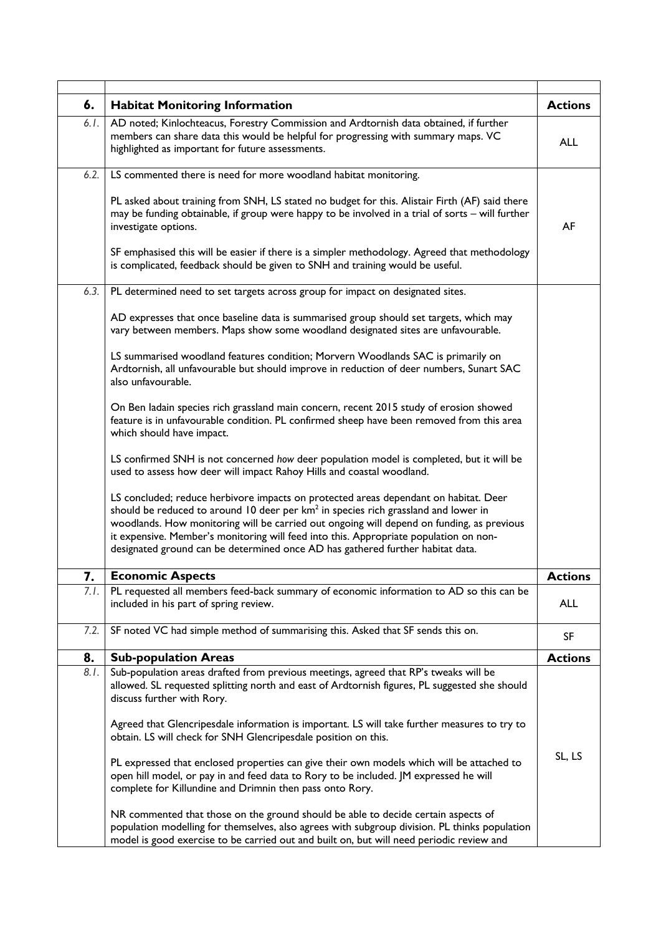| 6.   | <b>Habitat Monitoring Information</b>                                                                                                                                                                                                                                                                                                                                                                                                                          | <b>Actions</b> |
|------|----------------------------------------------------------------------------------------------------------------------------------------------------------------------------------------------------------------------------------------------------------------------------------------------------------------------------------------------------------------------------------------------------------------------------------------------------------------|----------------|
| 6.1. | AD noted; Kinlochteacus, Forestry Commission and Ardtornish data obtained, if further<br>members can share data this would be helpful for progressing with summary maps. VC<br>highlighted as important for future assessments.                                                                                                                                                                                                                                | <b>ALL</b>     |
| 6.2. | LS commented there is need for more woodland habitat monitoring.                                                                                                                                                                                                                                                                                                                                                                                               |                |
|      | PL asked about training from SNH, LS stated no budget for this. Alistair Firth (AF) said there<br>may be funding obtainable, if group were happy to be involved in a trial of sorts - will further<br>investigate options.                                                                                                                                                                                                                                     | AF             |
|      | SF emphasised this will be easier if there is a simpler methodology. Agreed that methodology<br>is complicated, feedback should be given to SNH and training would be useful.                                                                                                                                                                                                                                                                                  |                |
| 6.3. | PL determined need to set targets across group for impact on designated sites.                                                                                                                                                                                                                                                                                                                                                                                 |                |
|      | AD expresses that once baseline data is summarised group should set targets, which may<br>vary between members. Maps show some woodland designated sites are unfavourable.                                                                                                                                                                                                                                                                                     |                |
|      | LS summarised woodland features condition; Morvern Woodlands SAC is primarily on<br>Ardtornish, all unfavourable but should improve in reduction of deer numbers, Sunart SAC<br>also unfavourable.                                                                                                                                                                                                                                                             |                |
|      | On Ben ladain species rich grassland main concern, recent 2015 study of erosion showed<br>feature is in unfavourable condition. PL confirmed sheep have been removed from this area<br>which should have impact.                                                                                                                                                                                                                                               |                |
|      | LS confirmed SNH is not concerned how deer population model is completed, but it will be<br>used to assess how deer will impact Rahoy Hills and coastal woodland.                                                                                                                                                                                                                                                                                              |                |
|      | LS concluded; reduce herbivore impacts on protected areas dependant on habitat. Deer<br>should be reduced to around 10 deer per km <sup>2</sup> in species rich grassland and lower in<br>woodlands. How monitoring will be carried out ongoing will depend on funding, as previous<br>it expensive. Member's monitoring will feed into this. Appropriate population on non-<br>designated ground can be determined once AD has gathered further habitat data. |                |
| 7.   | <b>Economic Aspects</b>                                                                                                                                                                                                                                                                                                                                                                                                                                        | <b>Actions</b> |
| 7.1. | PL requested all members feed-back summary of economic information to AD so this can be<br>included in his part of spring review.                                                                                                                                                                                                                                                                                                                              | ALL            |
| 7.2. | SF noted VC had simple method of summarising this. Asked that SF sends this on.                                                                                                                                                                                                                                                                                                                                                                                | SF             |
| 8.   | <b>Sub-population Areas</b>                                                                                                                                                                                                                                                                                                                                                                                                                                    | <b>Actions</b> |
| 8.1. | Sub-population areas drafted from previous meetings, agreed that RP's tweaks will be<br>allowed. SL requested splitting north and east of Ardtornish figures, PL suggested she should<br>discuss further with Rory.                                                                                                                                                                                                                                            |                |
|      | Agreed that Glencripesdale information is important. LS will take further measures to try to<br>obtain. LS will check for SNH Glencripesdale position on this.                                                                                                                                                                                                                                                                                                 |                |
|      | PL expressed that enclosed properties can give their own models which will be attached to<br>open hill model, or pay in and feed data to Rory to be included. JM expressed he will<br>complete for Killundine and Drimnin then pass onto Rory.                                                                                                                                                                                                                 | SL, LS         |
|      | NR commented that those on the ground should be able to decide certain aspects of<br>population modelling for themselves, also agrees with subgroup division. PL thinks population<br>model is good exercise to be carried out and built on, but will need periodic review and                                                                                                                                                                                 |                |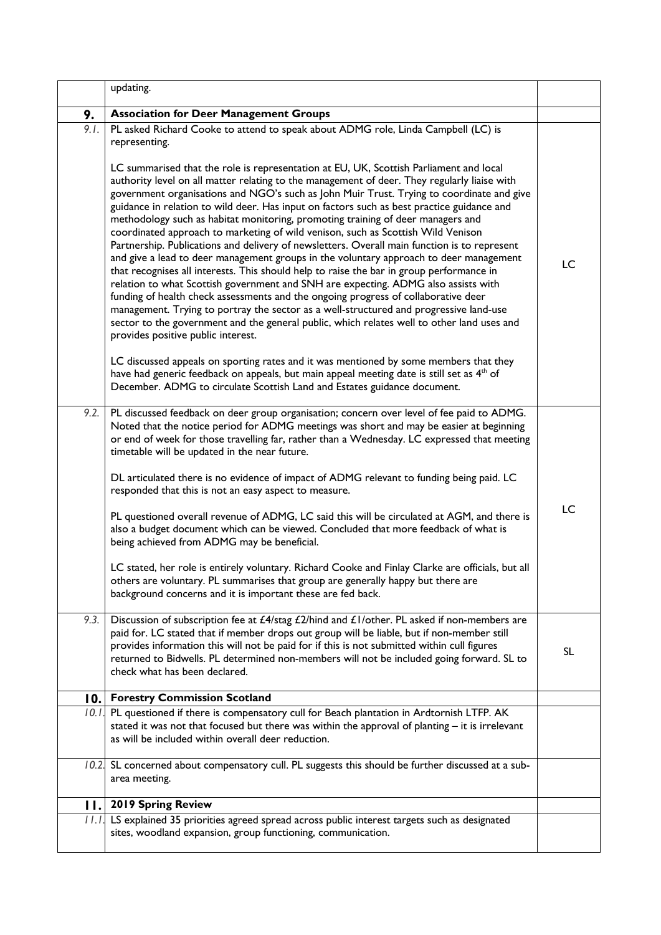|             | updating.                                                                                                                                                                                                                                                                                                                                                                                                                                                                                                                                                                                                                                                                                                                                                                                                                                                                                                                                                                                                                                                                                                                                                                                                                                                |    |
|-------------|----------------------------------------------------------------------------------------------------------------------------------------------------------------------------------------------------------------------------------------------------------------------------------------------------------------------------------------------------------------------------------------------------------------------------------------------------------------------------------------------------------------------------------------------------------------------------------------------------------------------------------------------------------------------------------------------------------------------------------------------------------------------------------------------------------------------------------------------------------------------------------------------------------------------------------------------------------------------------------------------------------------------------------------------------------------------------------------------------------------------------------------------------------------------------------------------------------------------------------------------------------|----|
| 9.          | <b>Association for Deer Management Groups</b>                                                                                                                                                                                                                                                                                                                                                                                                                                                                                                                                                                                                                                                                                                                                                                                                                                                                                                                                                                                                                                                                                                                                                                                                            |    |
| 9.1.        | PL asked Richard Cooke to attend to speak about ADMG role, Linda Campbell (LC) is<br>representing.                                                                                                                                                                                                                                                                                                                                                                                                                                                                                                                                                                                                                                                                                                                                                                                                                                                                                                                                                                                                                                                                                                                                                       |    |
|             | LC summarised that the role is representation at EU, UK, Scottish Parliament and local<br>authority level on all matter relating to the management of deer. They regularly liaise with<br>government organisations and NGO's such as John Muir Trust. Trying to coordinate and give<br>guidance in relation to wild deer. Has input on factors such as best practice guidance and<br>methodology such as habitat monitoring, promoting training of deer managers and<br>coordinated approach to marketing of wild venison, such as Scottish Wild Venison<br>Partnership. Publications and delivery of newsletters. Overall main function is to represent<br>and give a lead to deer management groups in the voluntary approach to deer management<br>that recognises all interests. This should help to raise the bar in group performance in<br>relation to what Scottish government and SNH are expecting. ADMG also assists with<br>funding of health check assessments and the ongoing progress of collaborative deer<br>management. Trying to portray the sector as a well-structured and progressive land-use<br>sector to the government and the general public, which relates well to other land uses and<br>provides positive public interest. | LC |
|             | LC discussed appeals on sporting rates and it was mentioned by some members that they<br>have had generic feedback on appeals, but main appeal meeting date is still set as 4 <sup>th</sup> of<br>December. ADMG to circulate Scottish Land and Estates guidance document.                                                                                                                                                                                                                                                                                                                                                                                                                                                                                                                                                                                                                                                                                                                                                                                                                                                                                                                                                                               |    |
|             | 9.2. PL discussed feedback on deer group organisation; concern over level of fee paid to ADMG.<br>Noted that the notice period for ADMG meetings was short and may be easier at beginning<br>or end of week for those travelling far, rather than a Wednesday. LC expressed that meeting<br>timetable will be updated in the near future.<br>DL articulated there is no evidence of impact of ADMG relevant to funding being paid. LC<br>responded that this is not an easy aspect to measure.                                                                                                                                                                                                                                                                                                                                                                                                                                                                                                                                                                                                                                                                                                                                                           |    |
|             | PL questioned overall revenue of ADMG, LC said this will be circulated at AGM, and there is<br>also a budget document which can be viewed. Concluded that more feedback of what is<br>being achieved from ADMG may be beneficial.                                                                                                                                                                                                                                                                                                                                                                                                                                                                                                                                                                                                                                                                                                                                                                                                                                                                                                                                                                                                                        | LC |
|             | LC stated, her role is entirely voluntary. Richard Cooke and Finlay Clarke are officials, but all<br>others are voluntary. PL summarises that group are generally happy but there are<br>background concerns and it is important these are fed back.                                                                                                                                                                                                                                                                                                                                                                                                                                                                                                                                                                                                                                                                                                                                                                                                                                                                                                                                                                                                     |    |
| 9.3.        | Discussion of subscription fee at £4/stag £2/hind and £1/other. PL asked if non-members are<br>paid for. LC stated that if member drops out group will be liable, but if non-member still<br>provides information this will not be paid for if this is not submitted within cull figures<br>returned to Bidwells. PL determined non-members will not be included going forward. SL to<br>check what has been declared.                                                                                                                                                                                                                                                                                                                                                                                                                                                                                                                                                                                                                                                                                                                                                                                                                                   | SL |
| 0.          | <b>Forestry Commission Scotland</b>                                                                                                                                                                                                                                                                                                                                                                                                                                                                                                                                                                                                                                                                                                                                                                                                                                                                                                                                                                                                                                                                                                                                                                                                                      |    |
|             | 10.1. PL questioned if there is compensatory cull for Beach plantation in Ardtornish LTFP. AK<br>stated it was not that focused but there was within the approval of planting - it is irrelevant<br>as will be included within overall deer reduction.                                                                                                                                                                                                                                                                                                                                                                                                                                                                                                                                                                                                                                                                                                                                                                                                                                                                                                                                                                                                   |    |
|             | 10.2 SL concerned about compensatory cull. PL suggests this should be further discussed at a sub-<br>area meeting.                                                                                                                                                                                                                                                                                                                                                                                                                                                                                                                                                                                                                                                                                                                                                                                                                                                                                                                                                                                                                                                                                                                                       |    |
| $  \cdot  $ | 2019 Spring Review                                                                                                                                                                                                                                                                                                                                                                                                                                                                                                                                                                                                                                                                                                                                                                                                                                                                                                                                                                                                                                                                                                                                                                                                                                       |    |
|             | 11.1 LS explained 35 priorities agreed spread across public interest targets such as designated<br>sites, woodland expansion, group functioning, communication.                                                                                                                                                                                                                                                                                                                                                                                                                                                                                                                                                                                                                                                                                                                                                                                                                                                                                                                                                                                                                                                                                          |    |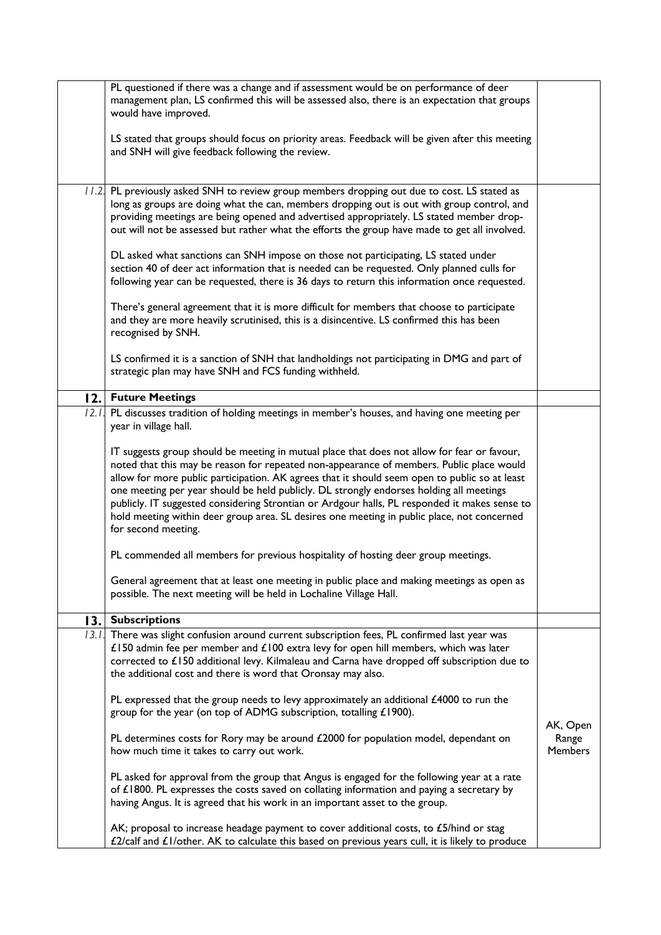|       | PL questioned if there was a change and if assessment would be on performance of deer<br>management plan, LS confirmed this will be assessed also, there is an expectation that groups<br>would have improved.                                                                                                                                                                                                                                                                                                                                                                                            |                                     |
|-------|-----------------------------------------------------------------------------------------------------------------------------------------------------------------------------------------------------------------------------------------------------------------------------------------------------------------------------------------------------------------------------------------------------------------------------------------------------------------------------------------------------------------------------------------------------------------------------------------------------------|-------------------------------------|
|       | LS stated that groups should focus on priority areas. Feedback will be given after this meeting<br>and SNH will give feedback following the review.                                                                                                                                                                                                                                                                                                                                                                                                                                                       |                                     |
|       | 11.2. PL previously asked SNH to review group members dropping out due to cost. LS stated as<br>long as groups are doing what the can, members dropping out is out with group control, and<br>providing meetings are being opened and advertised appropriately. LS stated member drop-<br>out will not be assessed but rather what the efforts the group have made to get all involved.                                                                                                                                                                                                                   |                                     |
|       | DL asked what sanctions can SNH impose on those not participating, LS stated under<br>section 40 of deer act information that is needed can be requested. Only planned culls for<br>following year can be requested, there is 36 days to return this information once requested.                                                                                                                                                                                                                                                                                                                          |                                     |
|       | There's general agreement that it is more difficult for members that choose to participate<br>and they are more heavily scrutinised, this is a disincentive. LS confirmed this has been<br>recognised by SNH.                                                                                                                                                                                                                                                                                                                                                                                             |                                     |
|       | LS confirmed it is a sanction of SNH that landholdings not participating in DMG and part of<br>strategic plan may have SNH and FCS funding withheld.                                                                                                                                                                                                                                                                                                                                                                                                                                                      |                                     |
|       | 12. Future Meetings                                                                                                                                                                                                                                                                                                                                                                                                                                                                                                                                                                                       |                                     |
| 12.1. | PL discusses tradition of holding meetings in member's houses, and having one meeting per<br>year in village hall.                                                                                                                                                                                                                                                                                                                                                                                                                                                                                        |                                     |
|       | IT suggests group should be meeting in mutual place that does not allow for fear or favour,<br>noted that this may be reason for repeated non-appearance of members. Public place would<br>allow for more public participation. AK agrees that it should seem open to public so at least<br>one meeting per year should be held publicly. DL strongly endorses holding all meetings<br>publicly. IT suggested considering Strontian or Ardgour halls, PL responded it makes sense to<br>hold meeting within deer group area. SL desires one meeting in public place, not concerned<br>for second meeting. |                                     |
|       | PL commended all members for previous hospitality of hosting deer group meetings.                                                                                                                                                                                                                                                                                                                                                                                                                                                                                                                         |                                     |
|       | General agreement that at least one meeting in public place and making meetings as open as<br>possible. The next meeting will be held in Lochaline Village Hall.                                                                                                                                                                                                                                                                                                                                                                                                                                          |                                     |
| 13.   | <b>Subscriptions</b>                                                                                                                                                                                                                                                                                                                                                                                                                                                                                                                                                                                      |                                     |
| 13.1. | There was slight confusion around current subscription fees, PL confirmed last year was<br>£150 admin fee per member and £100 extra levy for open hill members, which was later<br>corrected to £150 additional levy. Kilmaleau and Carna have dropped off subscription due to<br>the additional cost and there is word that Oronsay may also.                                                                                                                                                                                                                                                            |                                     |
|       | PL expressed that the group needs to levy approximately an additional £4000 to run the<br>group for the year (on top of ADMG subscription, totalling £1900).                                                                                                                                                                                                                                                                                                                                                                                                                                              |                                     |
|       | PL determines costs for Rory may be around £2000 for population model, dependant on<br>how much time it takes to carry out work.                                                                                                                                                                                                                                                                                                                                                                                                                                                                          | AK, Open<br>Range<br><b>Members</b> |
|       | PL asked for approval from the group that Angus is engaged for the following year at a rate<br>of $£1800$ . PL expresses the costs saved on collating information and paying a secretary by<br>having Angus. It is agreed that his work in an important asset to the group.                                                                                                                                                                                                                                                                                                                               |                                     |
|       | AK; proposal to increase headage payment to cover additional costs, to £5/hind or stag<br>£2/calf and £1/other. AK to calculate this based on previous years cull, it is likely to produce                                                                                                                                                                                                                                                                                                                                                                                                                |                                     |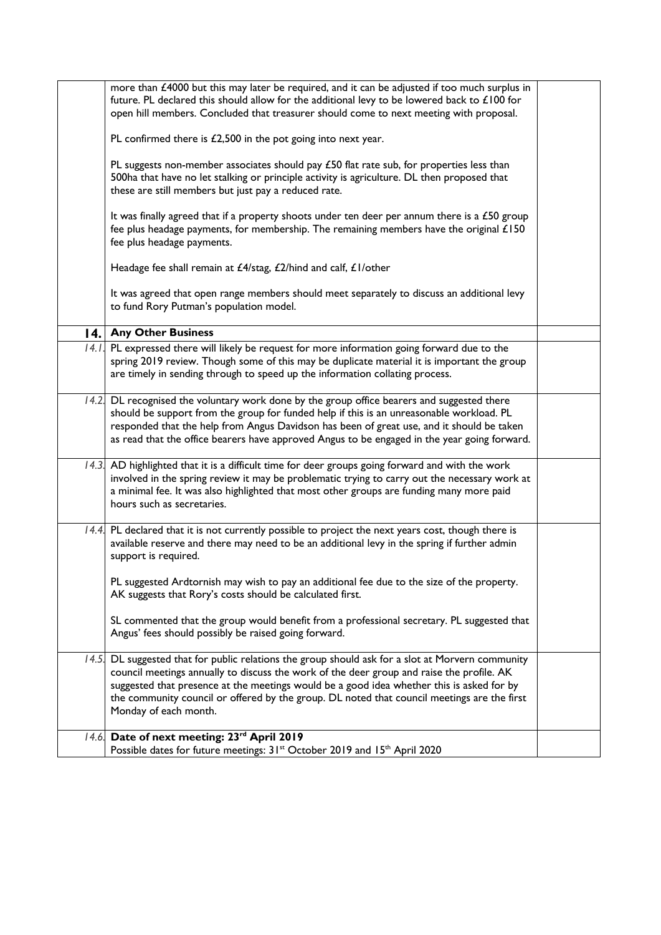|       | more than £4000 but this may later be required, and it can be adjusted if too much surplus in<br>future. PL declared this should allow for the additional levy to be lowered back to £100 for<br>open hill members. Concluded that treasurer should come to next meeting with proposal.                                                                                                                       |  |
|-------|---------------------------------------------------------------------------------------------------------------------------------------------------------------------------------------------------------------------------------------------------------------------------------------------------------------------------------------------------------------------------------------------------------------|--|
|       | PL confirmed there is $£2,500$ in the pot going into next year.                                                                                                                                                                                                                                                                                                                                               |  |
|       | PL suggests non-member associates should pay £50 flat rate sub, for properties less than<br>500ha that have no let stalking or principle activity is agriculture. DL then proposed that<br>these are still members but just pay a reduced rate.                                                                                                                                                               |  |
|       | It was finally agreed that if a property shoots under ten deer per annum there is a £50 group<br>fee plus headage payments, for membership. The remaining members have the original £150<br>fee plus headage payments.                                                                                                                                                                                        |  |
|       | Headage fee shall remain at £4/stag, £2/hind and calf, £1/other                                                                                                                                                                                                                                                                                                                                               |  |
|       | It was agreed that open range members should meet separately to discuss an additional levy<br>to fund Rory Putman's population model.                                                                                                                                                                                                                                                                         |  |
|       | 14. Any Other Business                                                                                                                                                                                                                                                                                                                                                                                        |  |
|       | 14.1. PL expressed there will likely be request for more information going forward due to the<br>spring 2019 review. Though some of this may be duplicate material it is important the group<br>are timely in sending through to speed up the information collating process.                                                                                                                                  |  |
|       | 14.2 DL recognised the voluntary work done by the group office bearers and suggested there<br>should be support from the group for funded help if this is an unreasonable workload. PL<br>responded that the help from Angus Davidson has been of great use, and it should be taken<br>as read that the office bearers have approved Angus to be engaged in the year going forward.                           |  |
|       | 14.3 AD highlighted that it is a difficult time for deer groups going forward and with the work<br>involved in the spring review it may be problematic trying to carry out the necessary work at<br>a minimal fee. It was also highlighted that most other groups are funding many more paid<br>hours such as secretaries.                                                                                    |  |
|       | 14.4. PL declared that it is not currently possible to project the next years cost, though there is<br>available reserve and there may need to be an additional levy in the spring if further admin<br>support is required.                                                                                                                                                                                   |  |
|       | PL suggested Ardtornish may wish to pay an additional fee due to the size of the property.<br>AK suggests that Rory's costs should be calculated first.                                                                                                                                                                                                                                                       |  |
|       | SL commented that the group would benefit from a professional secretary. PL suggested that<br>Angus' fees should possibly be raised going forward.                                                                                                                                                                                                                                                            |  |
| 14.5. | DL suggested that for public relations the group should ask for a slot at Morvern community<br>council meetings annually to discuss the work of the deer group and raise the profile. AK<br>suggested that presence at the meetings would be a good idea whether this is asked for by<br>the community council or offered by the group. DL noted that council meetings are the first<br>Monday of each month. |  |
|       | 14.6 Date of next meeting: 23rd April 2019<br>Possible dates for future meetings: 31 <sup>st</sup> October 2019 and 15 <sup>th</sup> April 2020                                                                                                                                                                                                                                                               |  |